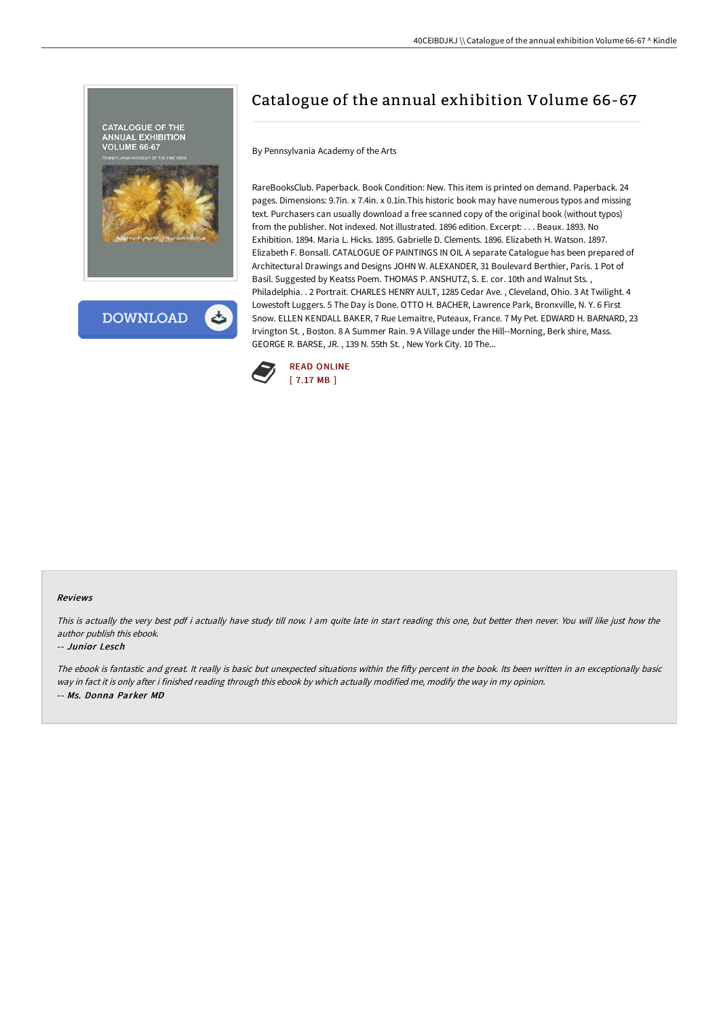



# Catalogue of the annual exhibition Volume 66-67

By Pennsylvania Academy of the Arts

RareBooksClub. Paperback. Book Condition: New. This item is printed on demand. Paperback. 24 pages. Dimensions: 9.7in. x 7.4in. x 0.1in.This historic book may have numerous typos and missing text. Purchasers can usually download a free scanned copy of the original book (without typos) from the publisher. Not indexed. Not illustrated. 1896 edition. Excerpt: . . . Beaux. 1893. No Exhibition. 1894. Maria L. Hicks. 1895. Gabrielle D. Clements. 1896. Elizabeth H. Watson. 1897. Elizabeth F. Bonsall. CATALOGUE OF PAINTINGS IN OIL A separate Catalogue has been prepared of Architectural Drawings and Designs JOHN W. ALEXANDER, 31 Boulevard Berthier, Paris. 1 Pot of Basil. Suggested by Keatss Poem. THOMAS P. ANSHUTZ, S. E. cor. 10th and Walnut Sts. , Philadelphia. . 2 Portrait. CHARLES HENRY AULT, 1285 Cedar Ave. , Cleveland, Ohio. 3 At Twilight. 4 Lowestoft Luggers. 5 The Day is Done. OTTO H. BACHER, Lawrence Park, Bronxville, N. Y. 6 First Snow. ELLEN KENDALL BAKER, 7 Rue Lemaitre, Puteaux, France. 7 My Pet. EDWARD H. BARNARD, 23 Irvington St. , Boston. 8 A Summer Rain. 9 A Village under the Hill--Morning, Berk shire, Mass. GEORGE R. BARSE, JR. , 139 N. 55th St. , New York City. 10 The...



#### Reviews

This is actually the very best pdf i actually have study till now. I am quite late in start reading this one, but better then never. You will like just how the author publish this ebook.

#### -- Junior Lesch

The ebook is fantastic and great. It really is basic but unexpected situations within the fifty percent in the book. Its been written in an exceptionally basic way in fact it is only after i finished reading through this ebook by which actually modified me, modify the way in my opinion. -- Ms. Donna Parker MD